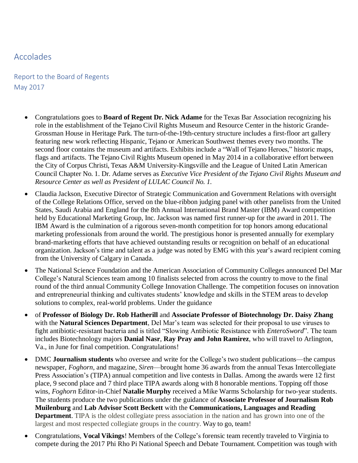## Accolades

Report to the Board of Regents May 2017

- Congratulations goes to **Board of Regent Dr. Nick Adame** for the Texas Bar Association recognizing his role in the establishment of the Tejano Civil Rights Museum and Resource Center in the historic Grande-Grossman House in Heritage Park. The turn-of-the-19th-century structure includes a first-floor art gallery featuring new work reflecting Hispanic, Tejano or American Southwest themes every two months. The second floor contains the museum and artifacts. Exhibits include a "Wall of Tejano Heroes," historic maps, flags and artifacts. The Tejano Civil Rights Museum opened in May 2014 in a collaborative effort between the City of Corpus Christi, Texas A&M University-Kingsville and the League of United Latin American Council Chapter No. 1. Dr. Adame serves as *Executive Vice President of the Tejano Civil Rights Museum and Resource Center as well as President of LULAC Council No. 1.*
- Claudia Jackson, Executive Director of Strategic Communication and Government Relations with oversight of the College Relations Office, served on the blue-ribbon judging panel with other panelists from the United States, Saudi Arabia and England for the 8th Annual International Brand Master (IBM) Award competition held by Educational Marketing Group, Inc. Jackson was named first runner-up for the award in 2011. The IBM Award is the culmination of a rigorous seven-month competition for top honors among educational marketing professionals from around the world. The prestigious honor is presented annually for exemplary brand-marketing efforts that have achieved outstanding results or recognition on behalf of an educational organization. Jackson's time and talent as a judge was noted by EMG with this year's award recipient coming from the University of Calgary in Canada.
- The National Science Foundation and the American Association of Community Colleges announced Del Mar College's Natural Sciences team among 10 finalists selected from across the country to move to the final round of the third annual Community College Innovation Challenge. The competition focuses on innovation and entrepreneurial thinking and cultivates students' knowledge and skills in the STEM areas to develop solutions to complex, real-world problems. Under the guidance
- of **Professor of Biology Dr. Rob Hatherill** and **Associate Professor of Biotechnology Dr. Daisy Zhang**  with the **Natural Sciences Department**, Del Mar's team was selected for their proposal to use viruses to fight antibiotic-resistant bacteria and is titled "Slowing Antibiotic Resistance with *EnteroSword*". The team includes Biotechnology majors **Danial Nasr**, **Ray Pray and John Ramirez**, who will travel to Arlington, Va., in June for final competition. Congratulations!
- DMC **Journalism students** who oversee and write for the College's two student publications––the campus newspaper, *Foghorn*, and magazine, *Siren*––brought home 36 awards from the annual Texas Intercollegiate Press Association's (TIPA) annual competition and live contests in Dallas. Among the awards were 12 first place, 9 second place and 7 third place TIPA awards along with 8 honorable mentions. Topping off those wins, *Foghorn* Editor-in-Chief **Natalie Murphy** received a Mike Warms Scholarship for two-year students. The students produce the two publications under the guidance of **Associate Professor of Journalism Rob Muilenburg** and **Lab Advisor Scott Beckett** with the **Communications, Languages and Reading Department**. TIPA is the oldest collegiate press association in the nation and has grown into one of the largest and most respected collegiate groups in the country. Way to go, team!
- Congratulations, **Vocal Vikings**! Members of the College's forensic team recently traveled to Virginia to compete during the 2017 Phi Rho Pi National Speech and Debate Tournament. Competition was tough with